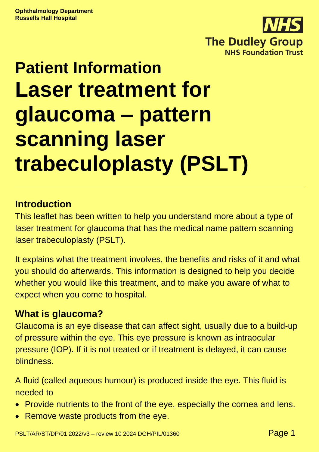

# **Patient Information Laser treatment for glaucoma – pattern scanning laser trabeculoplasty (PSLT)**

#### **Introduction**

This leaflet has been written to help you understand more about a type of laser treatment for glaucoma that has the medical name pattern scanning laser trabeculoplasty (PSLT).

It explains what the treatment involves, the benefits and risks of it and what you should do afterwards. This information is designed to help you decide whether you would like this treatment, and to make you aware of what to expect when you come to hospital.

### **What is glaucoma?**

Glaucoma is an eye disease that can affect sight, usually due to a build-up of pressure within the eye. This eye pressure is known as intraocular pressure (IOP). If it is not treated or if treatment is delayed, it can cause blindness.

A fluid (called aqueous humour) is produced inside the eye. This fluid is needed to

- Provide nutrients to the front of the eye, especially the cornea and lens.
- Remove waste products from the eye.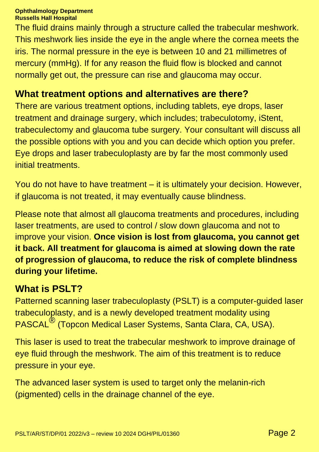The fluid drains mainly through a structure called the trabecular meshwork. This meshwork lies inside the eye in the angle where the cornea meets the iris. The normal pressure in the eye is between 10 and 21 millimetres of mercury (mmHg). If for any reason the fluid flow is blocked and cannot normally get out, the pressure can rise and glaucoma may occur.

### **What treatment options and alternatives are there?**

There are various treatment options, including tablets, eye drops, laser treatment and drainage surgery, which includes; trabeculotomy, iStent, trabeculectomy and glaucoma tube surgery. Your consultant will discuss all the possible options with you and you can decide which option you prefer. Eye drops and laser trabeculoplasty are by far the most commonly used initial treatments.

You do not have to have treatment – it is ultimately your decision. However, if glaucoma is not treated, it may eventually cause blindness.

Please note that almost all glaucoma treatments and procedures, including laser treatments, are used to control / slow down glaucoma and not to improve your vision. **Once vision is lost from glaucoma, you cannot get it back. All treatment for glaucoma is aimed at slowing down the rate of progression of glaucoma, to reduce the risk of complete blindness during your lifetime.**

### **What is PSLT?**

Patterned scanning laser trabeculoplasty (PSLT) is a computer-guided laser trabeculoplasty, and is a newly developed treatment modality using PASCAL® (Topcon Medical Laser Systems, Santa Clara, CA, USA).

This laser is used to treat the trabecular meshwork to improve drainage of eye fluid through the meshwork. The aim of this treatment is to reduce pressure in your eye.

The advanced laser system is used to target only the melanin-rich (pigmented) cells in the drainage channel of the eye.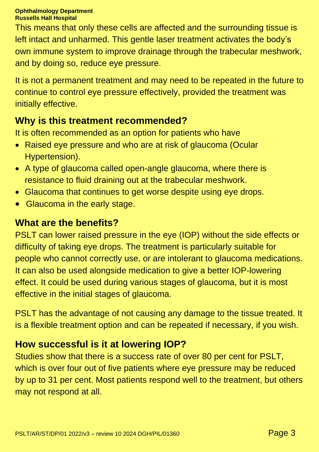This means that only these cells are affected and the surrounding tissue is left intact and unharmed. This gentle laser treatment activates the body's own immune system to improve drainage through the trabecular meshwork, and by doing so, reduce eye pressure.

It is not a permanent treatment and may need to be repeated in the future to continue to control eye pressure effectively, provided the treatment was initially effective.

### **Why is this treatment recommended?**

It is often recommended as an option for patients who have

- Raised eye pressure and who are at risk of glaucoma (Ocular Hypertension).
- A type of glaucoma called open-angle glaucoma, where there is resistance to fluid draining out at the trabecular meshwork.
- Glaucoma that continues to get worse despite using eye drops.
- Glaucoma in the early stage.

### **What are the benefits?**

PSLT can lower raised pressure in the eye (IOP) without the side effects or difficulty of taking eye drops. The treatment is particularly suitable for people who cannot correctly use, or are intolerant to glaucoma medications. It can also be used alongside medication to give a better IOP-lowering effect. It could be used during various stages of glaucoma, but it is most effective in the initial stages of glaucoma.

PSLT has the advantage of not causing any damage to the tissue treated. It is a flexible treatment option and can be repeated if necessary, if you wish.

### **How successful is it at lowering IOP?**

Studies show that there is a success rate of over 80 per cent for PSLT, which is over four out of five patients where eye pressure may be reduced by up to 31 per cent. Most patients respond well to the treatment, but others may not respond at all.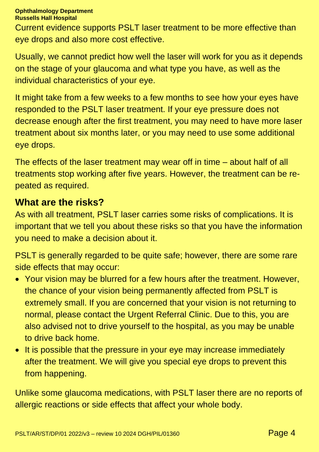Current evidence supports PSLT laser treatment to be more effective than eye drops and also more cost effective.

Usually, we cannot predict how well the laser will work for you as it depends on the stage of your glaucoma and what type you have, as well as the individual characteristics of your eye.

It might take from a few weeks to a few months to see how your eyes have responded to the PSLT laser treatment. If your eye pressure does not decrease enough after the first treatment, you may need to have more laser treatment about six months later, or you may need to use some additional eye drops.

The effects of the laser treatment may wear off in time – about half of all treatments stop working after five years. However, the treatment can be repeated as required.

#### **What are the risks?**

As with all treatment, PSLT laser carries some risks of complications. It is important that we tell you about these risks so that you have the information you need to make a decision about it.

PSLT is generally regarded to be quite safe; however, there are some rare side effects that may occur:

- Your vision may be blurred for a few hours after the treatment. However, the chance of your vision being permanently affected from PSLT is extremely small. If you are concerned that your vision is not returning to normal, please contact the Urgent Referral Clinic. Due to this, you are also advised not to drive yourself to the hospital, as you may be unable to drive back home.
- It is possible that the pressure in your eye may increase immediately after the treatment. We will give you special eye drops to prevent this from happening.

Unlike some glaucoma medications, with PSLT laser there are no reports of allergic reactions or side effects that affect your whole body.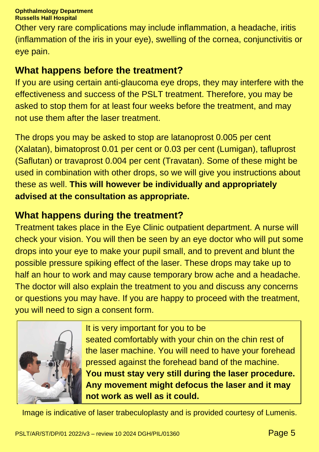Other very rare complications may include inflammation, a headache, iritis (inflammation of the iris in your eye), swelling of the cornea, conjunctivitis or eye pain.

### **What happens before the treatment?**

If you are using certain anti-glaucoma eye drops, they may interfere with the effectiveness and success of the PSLT treatment. Therefore, you may be asked to stop them for at least four weeks before the treatment, and may not use them after the laser treatment.

The drops you may be asked to stop are latanoprost 0.005 per cent (Xalatan), bimatoprost 0.01 per cent or 0.03 per cent (Lumigan), tafluprost (Saflutan) or travaprost 0.004 per cent (Travatan). Some of these might be used in combination with other drops, so we will give you instructions about these as well. **This will however be individually and appropriately advised at the consultation as appropriate.**

### **What happens during the treatment?**

Treatment takes place in the Eye Clinic outpatient department. A nurse will check your vision. You will then be seen by an eye doctor who will put some drops into your eye to make your pupil small, and to prevent and blunt the possible pressure spiking effect of the laser. These drops may take up to half an hour to work and may cause temporary brow ache and a headache. The doctor will also explain the treatment to you and discuss any concerns or questions you may have. If you are happy to proceed with the treatment, you will need to sign a consent form.



It is very important for you to be seated comfortably with your chin on the chin rest of the laser machine. You will need to have your forehead pressed against the forehead band of the machine. **You must stay very still during the laser procedure. Any movement might defocus the laser and it may not work as well as it could.**

Image is indicative of laser trabeculoplasty and is provided courtesy of Lumenis.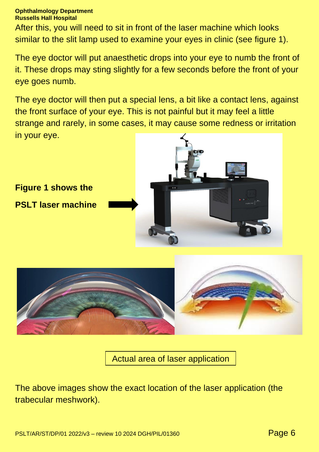After this, you will need to sit in front of the laser machine which looks similar to the slit lamp used to examine your eyes in clinic (see figure 1).

The eye doctor will put anaesthetic drops into your eye to numb the front of it. These drops may sting slightly for a few seconds before the front of your eye goes numb.

The eye doctor will then put a special lens, a bit like a contact lens, against the front surface of your eye. This is not painful but it may feel a little strange and rarely, in some cases, it may cause some redness or irritation in your eye.





Actual area of laser application

The above images show the exact location of the laser application (the trabecular meshwork).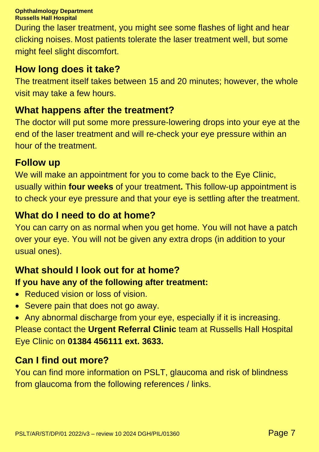During the laser treatment, you might see some flashes of light and hear clicking noises. Most patients tolerate the laser treatment well, but some might feel slight discomfort.

## **How long does it take?**

The treatment itself takes between 15 and 20 minutes; however, the whole visit may take a few hours.

## **What happens after the treatment?**

The doctor will put some more pressure-lowering drops into your eye at the end of the laser treatment and will re-check your eye pressure within an hour of the treatment.

## **Follow up**

We will make an appointment for you to come back to the Eye Clinic, usually within **four weeks** of your treatment**.** This follow-up appointment is to check your eye pressure and that your eye is settling after the treatment.

## **What do I need to do at home?**

You can carry on as normal when you get home. You will not have a patch over your eye. You will not be given any extra drops (in addition to your usual ones).

## **What should I look out for at home?**

### **If you have any of the following after treatment:**

- Reduced vision or loss of vision.
- Severe pain that does not go away.
- Any abnormal discharge from your eye, especially if it is increasing.

Please contact the **Urgent Referral Clinic** team at Russells Hall Hospital Eye Clinic on **01384 456111 ext. 3633.**

## **Can I find out more?**

You can find more information on PSLT, glaucoma and risk of blindness from glaucoma from the following references / links.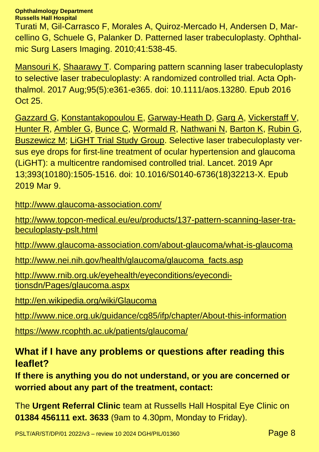#### **Ophthalmology Department**

**Russells Hall Hospital**

Turati M, Gil-Carrasco F, Morales A, Quiroz-Mercado H, Andersen D, Marcellino G, Schuele G, Palanker D. Patterned laser trabeculoplasty. Ophthalmic Surg Lasers Imaging. 2010;41:538-45.

[Mansouri](https://www.ncbi.nlm.nih.gov/pubmed/?term=Mansouri%20K%5BAuthor%5D&cauthor=true&cauthor_uid=27778483) K, [Shaarawy](https://www.ncbi.nlm.nih.gov/pubmed/?term=Shaarawy%20T%5BAuthor%5D&cauthor=true&cauthor_uid=27778483) T. Comparing pattern scanning laser trabeculoplasty to selective laser trabeculoplasty: A randomized controlled trial. Acta Ophthalmol. 2017 Aug;95(5):e361-e365. doi: 10.1111/aos.13280. Epub 2016 Oct 25.

[Gazzard](https://www.ncbi.nlm.nih.gov/pubmed/?term=Gazzard%20G%5BAuthor%5D&cauthor=true&cauthor_uid=30862377) G, [Konstantakopoulou](https://www.ncbi.nlm.nih.gov/pubmed/?term=Konstantakopoulou%20E%5BAuthor%5D&cauthor=true&cauthor_uid=30862377) E, [Garway-Heath](https://www.ncbi.nlm.nih.gov/pubmed/?term=Garway-Heath%20D%5BAuthor%5D&cauthor=true&cauthor_uid=30862377) D, [Garg](https://www.ncbi.nlm.nih.gov/pubmed/?term=Garg%20A%5BAuthor%5D&cauthor=true&cauthor_uid=30862377) A, [Vickerstaff](https://www.ncbi.nlm.nih.gov/pubmed/?term=Vickerstaff%20V%5BAuthor%5D&cauthor=true&cauthor_uid=30862377) V, [Hunter](https://www.ncbi.nlm.nih.gov/pubmed/?term=Hunter%20R%5BAuthor%5D&cauthor=true&cauthor_uid=30862377) R, [Ambler](https://www.ncbi.nlm.nih.gov/pubmed/?term=Ambler%20G%5BAuthor%5D&cauthor=true&cauthor_uid=30862377) G, [Bunce](https://www.ncbi.nlm.nih.gov/pubmed/?term=Bunce%20C%5BAuthor%5D&cauthor=true&cauthor_uid=30862377) C, [Wormald](https://www.ncbi.nlm.nih.gov/pubmed/?term=Wormald%20R%5BAuthor%5D&cauthor=true&cauthor_uid=30862377) R, [Nathwani](https://www.ncbi.nlm.nih.gov/pubmed/?term=Nathwani%20N%5BAuthor%5D&cauthor=true&cauthor_uid=30862377) N, [Barton](https://www.ncbi.nlm.nih.gov/pubmed/?term=Barton%20K%5BAuthor%5D&cauthor=true&cauthor_uid=30862377) K, [Rubin](https://www.ncbi.nlm.nih.gov/pubmed/?term=Rubin%20G%5BAuthor%5D&cauthor=true&cauthor_uid=30862377) G, [Buszewicz](https://www.ncbi.nlm.nih.gov/pubmed/?term=Buszewicz%20M%5BAuthor%5D&cauthor=true&cauthor_uid=30862377) M; LiGHT Trial Study [Group.](https://www.ncbi.nlm.nih.gov/pubmed/?term=LiGHT%20Trial%20Study%20Group%5BCorporate%20Author%5D) Selective laser trabeculoplasty versus eye drops for first-line treatment of ocular hypertension and glaucoma (LiGHT): a multicentre randomised controlled trial. Lancet. 2019 Apr 13;393(10180):1505-1516. doi: 10.1016/S0140-6736(18)32213-X. Epub 2019 Mar 9.

<http://www.glaucoma-association.com/>

[http://www.topcon-medical.eu/eu/products/137-pattern-scanning-laser-tra](http://www.topcon-medical.eu/eu/products/137-pattern-scanning-laser-trabeculoplasty-pslt.html)[beculoplasty-pslt.html](http://www.topcon-medical.eu/eu/products/137-pattern-scanning-laser-trabeculoplasty-pslt.html)

<http://www.glaucoma-association.com/about-glaucoma/what-is-glaucoma>

[http://www.nei.nih.gov/health/glaucoma/glaucoma\\_facts.asp](http://www.nei.nih.gov/health/glaucoma/glaucoma_facts.asp)

[http://www.rnib.org.uk/eyehealth/eyeconditions/eyecondi](http://www.rnib.org.uk/eyehealth/eyeconditions/eyeconditionsdn/Pages/glaucoma.aspx)[tionsdn/Pages/glaucoma.aspx](http://www.rnib.org.uk/eyehealth/eyeconditions/eyeconditionsdn/Pages/glaucoma.aspx)

<http://en.wikipedia.org/wiki/Glaucoma>

<http://www.nice.org.uk/guidance/cg85/ifp/chapter/About-this-information>

<https://www.rcophth.ac.uk/patients/glaucoma/>

#### **What if I have any problems or questions after reading this leaflet?**

**If there is anything you do not understand, or you are concerned or worried about any part of the treatment, contact:**

The **Urgent Referral Clinic** team at Russells Hall Hospital Eye Clinic on **01384 456111 ext. 3633** (9am to 4.30pm, Monday to Friday).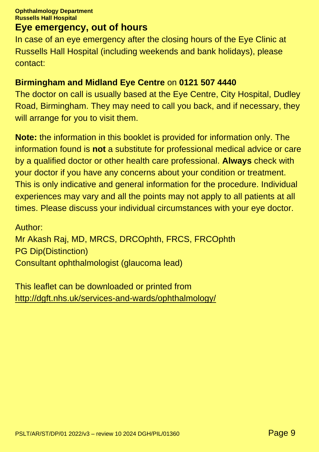#### **Eye emergency, out of hours**

In case of an eye emergency after the closing hours of the Eye Clinic at Russells Hall Hospital (including weekends and bank holidays), please contact:

#### **Birmingham and Midland Eye Centre** on **0121 507 4440**

The doctor on call is usually based at the Eye Centre, City Hospital, Dudley Road, Birmingham. They may need to call you back, and if necessary, they will arrange for you to visit them.

**Note:** the information in this booklet is provided for information only. The information found is **not** a substitute for professional medical advice or care by a qualified doctor or other health care professional. **Always** check with your doctor if you have any concerns about your condition or treatment. This is only indicative and general information for the procedure. Individual experiences may vary and all the points may not apply to all patients at all times. Please discuss your individual circumstances with your eye doctor.

Author: Mr Akash Raj, MD, MRCS, DRCOphth, FRCS, FRCOphth PG Dip(Distinction) Consultant ophthalmologist (glaucoma lead)

This leaflet can be downloaded or printed from <http://dgft.nhs.uk/services-and-wards/ophthalmology/>